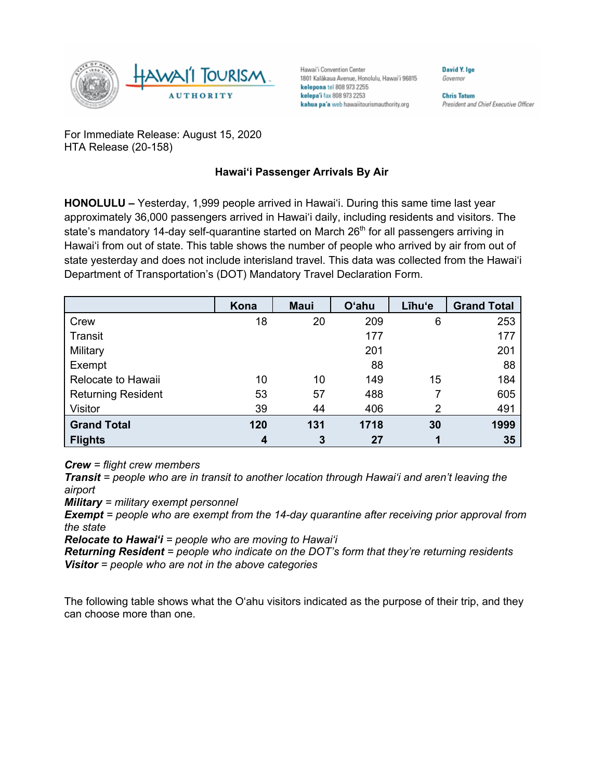

Hawai'i Convention Center 1801 Kalākaua Avenue, Honolulu, Hawai'i 96815 kelepona tel 808 973 2255 kelepa'i fax 808 973 2253 kahua pa'a web hawaiitourismauthority.org

Governor **Chris Tatum** 

**David Y. Ige** 

President and Chief Executive Officer

For Immediate Release: August 15, 2020 HTA Release (20-158)

## **Hawai'i Passenger Arrivals By Air**

**HONOLULU –** Yesterday, 1,999 people arrived in Hawai'i. During this same time last year approximately 36,000 passengers arrived in Hawai'i daily, including residents and visitors. The state's mandatory 14-day self-quarantine started on March  $26<sup>th</sup>$  for all passengers arriving in Hawai'i from out of state. This table shows the number of people who arrived by air from out of state yesterday and does not include interisland travel. This data was collected from the Hawai'i Department of Transportation's (DOT) Mandatory Travel Declaration Form.

|                           | Kona | <b>Maui</b> | <b>O'ahu</b> | Līhu'e         | <b>Grand Total</b> |
|---------------------------|------|-------------|--------------|----------------|--------------------|
| Crew                      | 18   | 20          | 209          | 6              | 253                |
| Transit                   |      |             | 177          |                | 177                |
| Military                  |      |             | 201          |                | 201                |
| Exempt                    |      |             | 88           |                | 88                 |
| Relocate to Hawaii        | 10   | 10          | 149          | 15             | 184                |
| <b>Returning Resident</b> | 53   | 57          | 488          |                | 605                |
| Visitor                   | 39   | 44          | 406          | $\overline{2}$ | 491                |
| <b>Grand Total</b>        | 120  | 131         | 1718         | 30             | 1999               |
| <b>Flights</b>            | 4    | 3           | 27           |                | 35                 |

*Crew = flight crew members*

*Transit = people who are in transit to another location through Hawai'i and aren't leaving the airport*

*Military = military exempt personnel*

*Exempt = people who are exempt from the 14-day quarantine after receiving prior approval from the state*

*Relocate to Hawai'i = people who are moving to Hawai'i*

*Returning Resident = people who indicate on the DOT's form that they're returning residents Visitor = people who are not in the above categories*

The following table shows what the O'ahu visitors indicated as the purpose of their trip, and they can choose more than one.